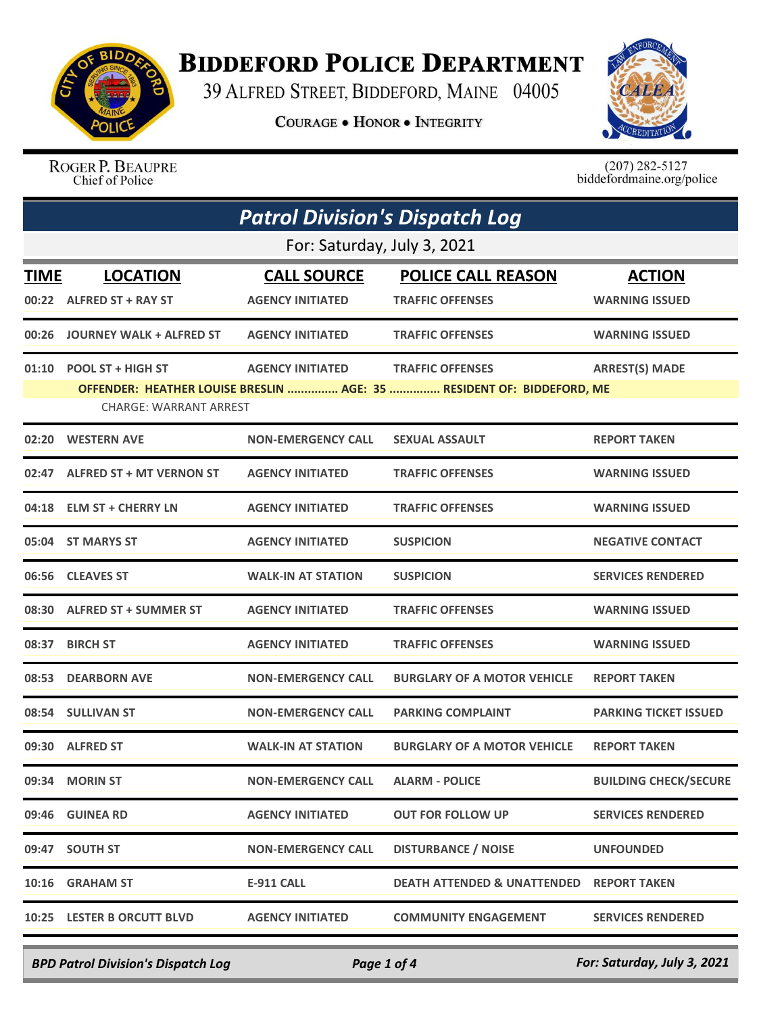

## **BIDDEFORD POLICE DEPARTMENT**

39 ALFRED STREET, BIDDEFORD, MAINE 04005

**COURAGE . HONOR . INTEGRITY** 



ROGER P. BEAUPRE Chief of Police

 $(207)$  282-5127<br>biddefordmaine.org/police

| <b>Patrol Division's Dispatch Log</b> |                                                          |                                               |                                                                                                  |                                        |
|---------------------------------------|----------------------------------------------------------|-----------------------------------------------|--------------------------------------------------------------------------------------------------|----------------------------------------|
| For: Saturday, July 3, 2021           |                                                          |                                               |                                                                                                  |                                        |
| TIME                                  | <b>LOCATION</b><br>00:22 ALFRED ST + RAY ST              | <b>CALL SOURCE</b><br><b>AGENCY INITIATED</b> | <b>POLICE CALL REASON</b><br><b>TRAFFIC OFFENSES</b>                                             | <b>ACTION</b><br><b>WARNING ISSUED</b> |
| 00:26                                 | JOURNEY WALK + ALFRED ST                                 | <b>AGENCY INITIATED</b>                       | <b>TRAFFIC OFFENSES</b>                                                                          | <b>WARNING ISSUED</b>                  |
|                                       | 01:10 POOL ST + HIGH ST<br><b>CHARGE: WARRANT ARREST</b> | <b>AGENCY INITIATED</b>                       | <b>TRAFFIC OFFENSES</b><br>OFFENDER: HEATHER LOUISE BRESLIN  AGE: 35  RESIDENT OF: BIDDEFORD, ME | <b>ARREST(S) MADE</b>                  |
|                                       | 02:20 WESTERN AVE                                        | <b>NON-EMERGENCY CALL</b>                     | <b>SEXUAL ASSAULT</b>                                                                            | <b>REPORT TAKEN</b>                    |
|                                       | 02:47 ALFRED ST + MT VERNON ST                           | <b>AGENCY INITIATED</b>                       | <b>TRAFFIC OFFENSES</b>                                                                          | <b>WARNING ISSUED</b>                  |
|                                       | 04:18 ELM ST + CHERRY LN                                 | <b>AGENCY INITIATED</b>                       | <b>TRAFFIC OFFENSES</b>                                                                          | <b>WARNING ISSUED</b>                  |
|                                       | 05:04 ST MARYS ST                                        | <b>AGENCY INITIATED</b>                       | <b>SUSPICION</b>                                                                                 | <b>NEGATIVE CONTACT</b>                |
|                                       | 06:56 CLEAVES ST                                         | <b>WALK-IN AT STATION</b>                     | <b>SUSPICION</b>                                                                                 | <b>SERVICES RENDERED</b>               |
|                                       | 08:30 ALFRED ST + SUMMER ST                              | <b>AGENCY INITIATED</b>                       | <b>TRAFFIC OFFENSES</b>                                                                          | <b>WARNING ISSUED</b>                  |
| 08:37                                 | <b>BIRCH ST</b>                                          | <b>AGENCY INITIATED</b>                       | <b>TRAFFIC OFFENSES</b>                                                                          | <b>WARNING ISSUED</b>                  |
| 08:53                                 | <b>DEARBORN AVE</b>                                      | <b>NON-EMERGENCY CALL</b>                     | <b>BURGLARY OF A MOTOR VEHICLE</b>                                                               | <b>REPORT TAKEN</b>                    |
|                                       | 08:54 SULLIVAN ST                                        | <b>NON-EMERGENCY CALL</b>                     | <b>PARKING COMPLAINT</b>                                                                         | <b>PARKING TICKET ISSUED</b>           |
|                                       | 09:30 ALFRED ST                                          | <b>WALK-IN AT STATION</b>                     | <b>BURGLARY OF A MOTOR VEHICLE</b>                                                               | <b>REPORT TAKEN</b>                    |
|                                       | 09:34 MORIN ST                                           | <b>NON-EMERGENCY CALL</b>                     | <b>ALARM - POLICE</b>                                                                            | <b>BUILDING CHECK/SECURE</b>           |
|                                       | 09:46 GUINEA RD                                          | <b>AGENCY INITIATED</b>                       | <b>OUT FOR FOLLOW UP</b>                                                                         | <b>SERVICES RENDERED</b>               |
|                                       | 09:47 SOUTH ST                                           | <b>NON-EMERGENCY CALL</b>                     | <b>DISTURBANCE / NOISE</b>                                                                       | <b>UNFOUNDED</b>                       |
| 10:16                                 | <b>GRAHAM ST</b>                                         | <b>E-911 CALL</b>                             | <b>DEATH ATTENDED &amp; UNATTENDED</b>                                                           | <b>REPORT TAKEN</b>                    |
|                                       | 10:25 LESTER B ORCUTT BLVD                               | <b>AGENCY INITIATED</b>                       | <b>COMMUNITY ENGAGEMENT</b>                                                                      | <b>SERVICES RENDERED</b>               |

*BPD Patrol Division's Dispatch Log Page 1 of 4 For: Saturday, July 3, 2021*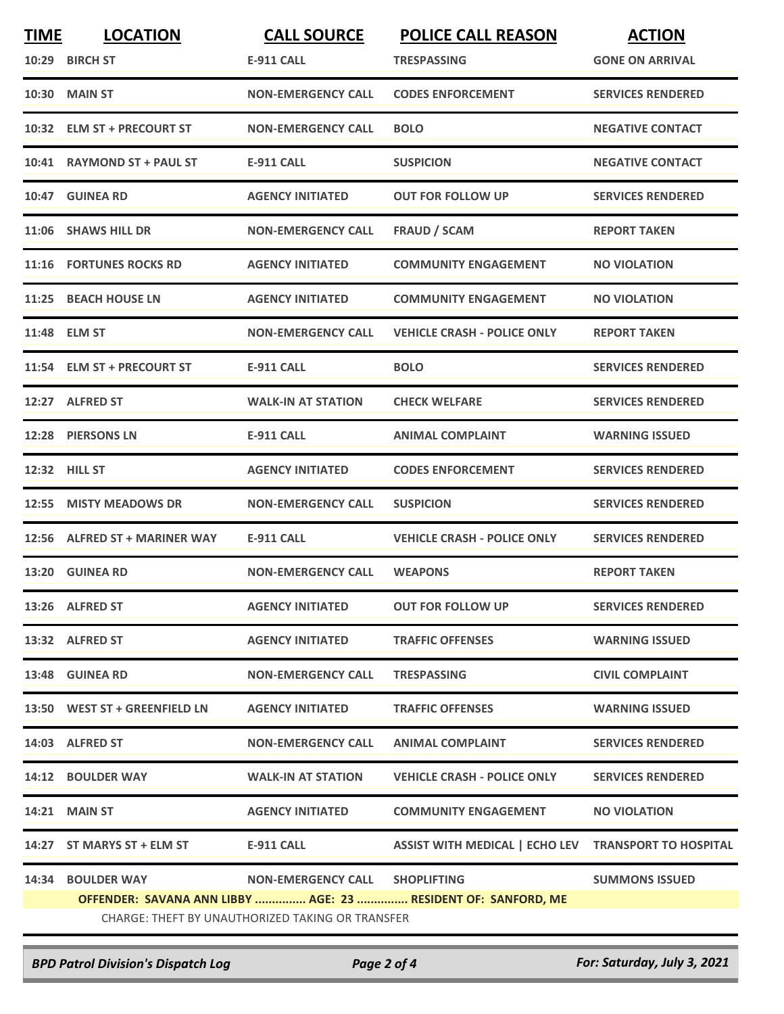| <b>TIME</b> | <b>LOCATION</b>                                  | <b>CALL SOURCE</b>             | <b>POLICE CALL REASON</b>                                     | <b>ACTION</b>            |  |
|-------------|--------------------------------------------------|--------------------------------|---------------------------------------------------------------|--------------------------|--|
|             | 10:29 BIRCH ST                                   | E-911 CALL                     | <b>TRESPASSING</b>                                            | <b>GONE ON ARRIVAL</b>   |  |
| 10:30       | MAIN ST                                          | <b>NON-EMERGENCY CALL</b>      | <b>CODES ENFORCEMENT</b>                                      | <b>SERVICES RENDERED</b> |  |
| 10:32       | <b>ELM ST + PRECOURT ST</b>                      | <b>NON-EMERGENCY CALL</b>      | <b>BOLO</b>                                                   | <b>NEGATIVE CONTACT</b>  |  |
| 10:41       | <b>RAYMOND ST + PAUL ST</b>                      | <b>E-911 CALL</b>              | <b>SUSPICION</b>                                              | <b>NEGATIVE CONTACT</b>  |  |
|             | 10:47 GUINEA RD                                  | <b>AGENCY INITIATED</b>        | <b>OUT FOR FOLLOW UP</b>                                      | <b>SERVICES RENDERED</b> |  |
|             | 11:06 SHAWS HILL DR                              | <b>NON-EMERGENCY CALL</b>      | <b>FRAUD / SCAM</b>                                           | <b>REPORT TAKEN</b>      |  |
|             | 11:16 FORTUNES ROCKS RD                          | <b>AGENCY INITIATED</b>        | <b>COMMUNITY ENGAGEMENT</b>                                   | <b>NO VIOLATION</b>      |  |
| 11:25       | <b>BEACH HOUSE LN</b>                            | <b>AGENCY INITIATED</b>        | <b>COMMUNITY ENGAGEMENT</b>                                   | <b>NO VIOLATION</b>      |  |
| 11:48       | <b>ELM ST</b>                                    | <b>NON-EMERGENCY CALL</b>      | <b>VEHICLE CRASH - POLICE ONLY</b>                            | <b>REPORT TAKEN</b>      |  |
|             | 11:54 ELM ST + PRECOURT ST                       | <b>E-911 CALL</b>              | <b>BOLO</b>                                                   | <b>SERVICES RENDERED</b> |  |
| 12:27       | <b>ALFRED ST</b>                                 | <b>WALK-IN AT STATION</b>      | <b>CHECK WELFARE</b>                                          | <b>SERVICES RENDERED</b> |  |
| 12:28       | <b>PIERSONS LN</b>                               | <b>E-911 CALL</b>              | <b>ANIMAL COMPLAINT</b>                                       | <b>WARNING ISSUED</b>    |  |
| 12:32       | <b>HILL ST</b>                                   | <b>AGENCY INITIATED</b>        | <b>CODES ENFORCEMENT</b>                                      | <b>SERVICES RENDERED</b> |  |
| 12:55       | <b>MISTY MEADOWS DR</b>                          | <b>NON-EMERGENCY CALL</b>      | <b>SUSPICION</b>                                              | <b>SERVICES RENDERED</b> |  |
| 12:56       | <b>ALFRED ST + MARINER WAY</b>                   | <b>E-911 CALL</b>              | <b>VEHICLE CRASH - POLICE ONLY</b>                            | <b>SERVICES RENDERED</b> |  |
|             | 13:20 GUINEA RD                                  | <b>NON-EMERGENCY CALL</b>      | <b>WEAPONS</b>                                                | <b>REPORT TAKEN</b>      |  |
|             | 13:26 ALFRED ST                                  | <b>AGENCY INITIATED</b>        | <b>OUT FOR FOLLOW UP</b>                                      | <b>SERVICES RENDERED</b> |  |
|             | 13:32 ALFRED ST                                  | <b>AGENCY INITIATED</b>        | <b>TRAFFIC OFFENSES</b>                                       | <b>WARNING ISSUED</b>    |  |
|             | 13:48 GUINEA RD                                  | <b>NON-EMERGENCY CALL</b>      | <b>TRESPASSING</b>                                            | <b>CIVIL COMPLAINT</b>   |  |
|             | 13:50 WEST ST + GREENFIELD LN                    | <b>AGENCY INITIATED</b>        | <b>TRAFFIC OFFENSES</b>                                       | <b>WARNING ISSUED</b>    |  |
|             | 14:03 ALFRED ST                                  | <b>NON-EMERGENCY CALL</b>      | <b>ANIMAL COMPLAINT</b>                                       | <b>SERVICES RENDERED</b> |  |
|             | 14:12 BOULDER WAY                                | <b>WALK-IN AT STATION</b>      | <b>VEHICLE CRASH - POLICE ONLY</b>                            | <b>SERVICES RENDERED</b> |  |
|             | <b>14:21 MAIN ST</b>                             | <b>AGENCY INITIATED</b>        | <b>COMMUNITY ENGAGEMENT</b>                                   | <b>NO VIOLATION</b>      |  |
|             | 14:27 ST MARYS ST + ELM ST                       | E-911 CALL                     | ASSIST WITH MEDICAL   ECHO LEV TRANSPORT TO HOSPITAL          |                          |  |
|             | 14:34 BOULDER WAY                                | NON-EMERGENCY CALL SHOPLIFTING |                                                               | <b>SUMMONS ISSUED</b>    |  |
|             |                                                  |                                | OFFENDER: SAVANA ANN LIBBY  AGE: 23  RESIDENT OF: SANFORD, ME |                          |  |
|             | CHARGE: THEFT BY UNAUTHORIZED TAKING OR TRANSFER |                                |                                                               |                          |  |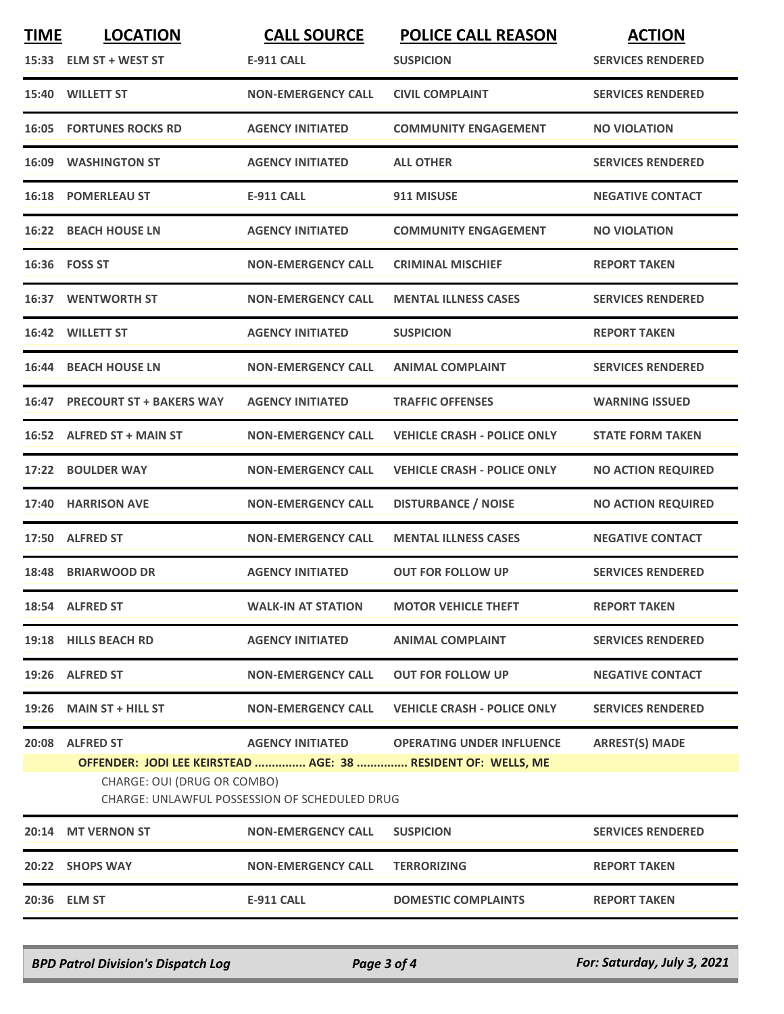| <b>TIME</b>      |                                                                                                                                                      | <b>CALL SOURCE</b>        | <b>POLICE CALL REASON</b>                  | <b>ACTION</b>             |  |  |
|------------------|------------------------------------------------------------------------------------------------------------------------------------------------------|---------------------------|--------------------------------------------|---------------------------|--|--|
|                  | 15:33 ELM ST + WEST ST                                                                                                                               | <b>E-911 CALL</b>         | <b>SUSPICION</b>                           | <b>SERVICES RENDERED</b>  |  |  |
| 15:40            | <b>WILLETT ST</b>                                                                                                                                    | <b>NON-EMERGENCY CALL</b> | <b>CIVIL COMPLAINT</b>                     | <b>SERVICES RENDERED</b>  |  |  |
| 16:05            | <b>FORTUNES ROCKS RD</b>                                                                                                                             | <b>AGENCY INITIATED</b>   | <b>COMMUNITY ENGAGEMENT</b>                | <b>NO VIOLATION</b>       |  |  |
| 16:09            | <b>WASHINGTON ST</b>                                                                                                                                 | <b>AGENCY INITIATED</b>   | <b>ALL OTHER</b>                           | <b>SERVICES RENDERED</b>  |  |  |
|                  | <b>16:18 POMERLEAU ST</b>                                                                                                                            | <b>E-911 CALL</b>         | 911 MISUSE                                 | <b>NEGATIVE CONTACT</b>   |  |  |
|                  | 16:22 BEACH HOUSE LN                                                                                                                                 | <b>AGENCY INITIATED</b>   | <b>COMMUNITY ENGAGEMENT</b>                | <b>NO VIOLATION</b>       |  |  |
| 16:36    FOSS ST |                                                                                                                                                      | <b>NON-EMERGENCY CALL</b> | <b>CRIMINAL MISCHIEF</b>                   | <b>REPORT TAKEN</b>       |  |  |
|                  | <b>16:37 WENTWORTH ST</b>                                                                                                                            | <b>NON-EMERGENCY CALL</b> | <b>MENTAL ILLNESS CASES</b>                | <b>SERVICES RENDERED</b>  |  |  |
| 16:42            | <b>WILLETT ST</b>                                                                                                                                    | <b>AGENCY INITIATED</b>   | <b>SUSPICION</b>                           | <b>REPORT TAKEN</b>       |  |  |
|                  | 16:44 BEACH HOUSE LN                                                                                                                                 | <b>NON-EMERGENCY CALL</b> | <b>ANIMAL COMPLAINT</b>                    | <b>SERVICES RENDERED</b>  |  |  |
| 16:47            | <b>PRECOURT ST + BAKERS WAY</b>                                                                                                                      | <b>AGENCY INITIATED</b>   | <b>TRAFFIC OFFENSES</b>                    | <b>WARNING ISSUED</b>     |  |  |
| 16:52            | <b>ALFRED ST + MAIN ST</b>                                                                                                                           | <b>NON-EMERGENCY CALL</b> | <b>VEHICLE CRASH - POLICE ONLY</b>         | <b>STATE FORM TAKEN</b>   |  |  |
| 17:22            | <b>BOULDER WAY</b>                                                                                                                                   | <b>NON-EMERGENCY CALL</b> | <b>VEHICLE CRASH - POLICE ONLY</b>         | <b>NO ACTION REQUIRED</b> |  |  |
| 17:40            | <b>HARRISON AVE</b>                                                                                                                                  | <b>NON-EMERGENCY CALL</b> | <b>DISTURBANCE / NOISE</b>                 | <b>NO ACTION REQUIRED</b> |  |  |
| 17:50            | <b>ALFRED ST</b>                                                                                                                                     | <b>NON-EMERGENCY CALL</b> | <b>MENTAL ILLNESS CASES</b>                | <b>NEGATIVE CONTACT</b>   |  |  |
| 18:48            | <b>BRIARWOOD DR</b>                                                                                                                                  | <b>AGENCY INITIATED</b>   | <b>OUT FOR FOLLOW UP</b>                   | <b>SERVICES RENDERED</b>  |  |  |
|                  | 18:54 ALFRED ST                                                                                                                                      | <b>WALK-IN AT STATION</b> | <b>MOTOR VEHICLE THEFT</b>                 | <b>REPORT TAKEN</b>       |  |  |
|                  | 19:18 HILLS BEACH RD                                                                                                                                 | <b>AGENCY INITIATED</b>   | <b>ANIMAL COMPLAINT</b>                    | <b>SERVICES RENDERED</b>  |  |  |
|                  | 19:26 ALFRED ST                                                                                                                                      | <b>NON-EMERGENCY CALL</b> | <b>OUT FOR FOLLOW UP</b>                   | <b>NEGATIVE CONTACT</b>   |  |  |
|                  | $19:26$ MAIN ST + HILL ST                                                                                                                            | <b>NON-EMERGENCY CALL</b> | <b>VEHICLE CRASH - POLICE ONLY</b>         | <b>SERVICES RENDERED</b>  |  |  |
|                  | 20:08 ALFRED ST                                                                                                                                      |                           | AGENCY INITIATED OPERATING UNDER INFLUENCE | <b>ARREST(S) MADE</b>     |  |  |
|                  | OFFENDER: JODI LEE KEIRSTEAD  AGE: 38  RESIDENT OF: WELLS, ME<br>CHARGE: OUI (DRUG OR COMBO)<br><b>CHARGE: UNLAWFUL POSSESSION OF SCHEDULED DRUG</b> |                           |                                            |                           |  |  |
| 20:14            | <b>MT VERNON ST</b>                                                                                                                                  | <b>NON-EMERGENCY CALL</b> | <b>SUSPICION</b>                           | <b>SERVICES RENDERED</b>  |  |  |
|                  | 20:22 SHOPS WAY                                                                                                                                      | <b>NON-EMERGENCY CALL</b> | <b>TERRORIZING</b>                         | <b>REPORT TAKEN</b>       |  |  |
| 20:36 ELM ST     |                                                                                                                                                      | <b>E-911 CALL</b>         | <b>DOMESTIC COMPLAINTS</b>                 | <b>REPORT TAKEN</b>       |  |  |

*BPD Patrol Division's Dispatch Log Page 3 of 4 For: Saturday, July 3, 2021*